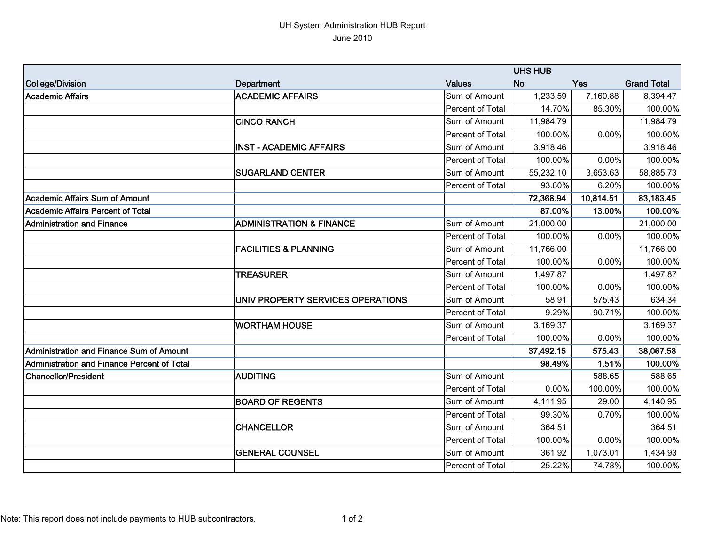## UH System Administration HUB Report June 2010

|                                             |                                     | <b>UHS HUB</b>   |           |            |                    |
|---------------------------------------------|-------------------------------------|------------------|-----------|------------|--------------------|
| College/Division                            | Department                          | <b>Values</b>    | <b>No</b> | <b>Yes</b> | <b>Grand Total</b> |
| Academic Affairs                            | <b>ACADEMIC AFFAIRS</b>             | Sum of Amount    | 1,233.59  | 7,160.88   | 8,394.47           |
|                                             |                                     | Percent of Total | 14.70%    | 85.30%     | 100.00%            |
|                                             | <b>CINCO RANCH</b>                  | Sum of Amount    | 11,984.79 |            | 11,984.79          |
|                                             |                                     | Percent of Total | 100.00%   | 0.00%      | 100.00%            |
|                                             | <b>INST - ACADEMIC AFFAIRS</b>      | Sum of Amount    | 3,918.46  |            | 3,918.46           |
|                                             |                                     | Percent of Total | 100.00%   | 0.00%      | 100.00%            |
|                                             | <b>SUGARLAND CENTER</b>             | Sum of Amount    | 55,232.10 | 3,653.63   | 58,885.73          |
|                                             |                                     | Percent of Total | 93.80%    | 6.20%      | 100.00%            |
| Academic Affairs Sum of Amount              |                                     |                  | 72,368.94 | 10,814.51  | 83,183.45          |
| Academic Affairs Percent of Total           |                                     |                  | 87.00%    | 13.00%     | 100.00%            |
| Administration and Finance                  | <b>ADMINISTRATION &amp; FINANCE</b> | Sum of Amount    | 21,000.00 |            | 21,000.00          |
|                                             |                                     | Percent of Total | 100.00%   | 0.00%      | 100.00%            |
|                                             | <b>FACILITIES &amp; PLANNING</b>    | Sum of Amount    | 11,766.00 |            | 11,766.00          |
|                                             |                                     | Percent of Total | 100.00%   | 0.00%      | 100.00%            |
|                                             | <b>TREASURER</b>                    | Sum of Amount    | 1,497.87  |            | 1,497.87           |
|                                             |                                     | Percent of Total | 100.00%   | 0.00%      | 100.00%            |
|                                             | UNIV PROPERTY SERVICES OPERATIONS   | Sum of Amount    | 58.91     | 575.43     | 634.34             |
|                                             |                                     | Percent of Total | 9.29%     | 90.71%     | 100.00%            |
|                                             | <b>WORTHAM HOUSE</b>                | Sum of Amount    | 3,169.37  |            | 3,169.37           |
|                                             |                                     | Percent of Total | 100.00%   | 0.00%      | 100.00%            |
| Administration and Finance Sum of Amount    |                                     |                  | 37,492.15 | 575.43     | 38,067.58          |
| Administration and Finance Percent of Total |                                     |                  | 98.49%    | 1.51%      | 100.00%            |
| <b>Chancellor/President</b>                 | <b>AUDITING</b>                     | Sum of Amount    |           | 588.65     | 588.65             |
|                                             |                                     | Percent of Total | 0.00%     | 100.00%    | 100.00%            |
|                                             | <b>BOARD OF REGENTS</b>             | Sum of Amount    | 4,111.95  | 29.00      | 4,140.95           |
|                                             |                                     | Percent of Total | 99.30%    | 0.70%      | 100.00%            |
|                                             | <b>CHANCELLOR</b>                   | Sum of Amount    | 364.51    |            | 364.51             |
|                                             |                                     | Percent of Total | 100.00%   | 0.00%      | 100.00%            |
|                                             | <b>GENERAL COUNSEL</b>              | Sum of Amount    | 361.92    | 1,073.01   | 1,434.93           |
|                                             |                                     | Percent of Total | 25.22%    | 74.78%     | 100.00%            |